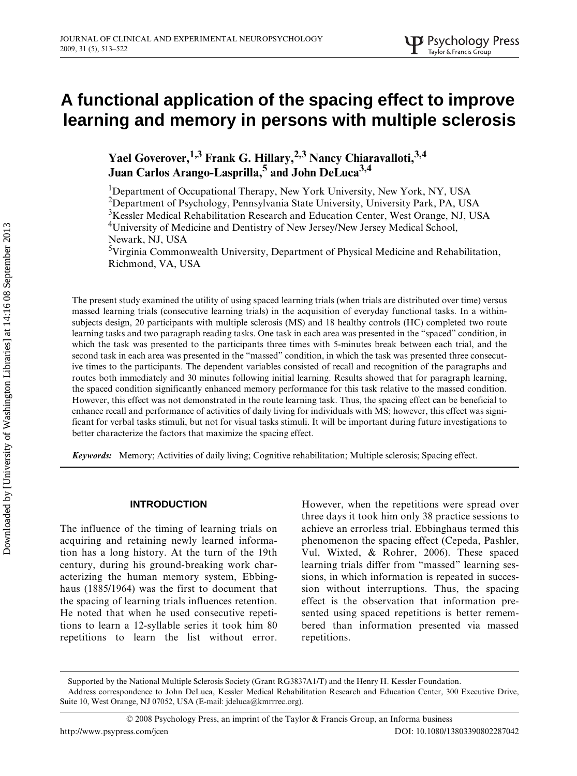# A functional application of the spacing effect to improve **learning and memory in persons with multiple sclerosis**

Yael Goverover,<sup>1,3</sup> Frank G. Hillary,<sup>2,3</sup> Nancy Chiaravalloti,<sup>3,4</sup> **Juan Carlos Arango-Lasprilla,<sup>5</sup> and John DeLuca3,4**

<sup>1</sup>Department of Occupational Therapy, New York University, New York, NY, USA 2 Department of Psychology, Pennsylvania State University, University Park, PA, USA <sup>3</sup>Kessler Medical Rehabilitation Research and Education Center, West Orange, NJ, USA <sup>4</sup>University of Medicine and Dentistry of New Jersey/New Jersey Medical School, Newark, NJ, USA

<sup>5</sup>Virginia Commonwealth University, Department of Physical Medicine and Rehabilitation, Richmond, VA, USA

The present study examined the utility of using spaced learning trials (when trials are distributed over time) versus massed learning trials (consecutive learning trials) in the acquisition of everyday functional tasks. In a withinsubjects design, 20 participants with multiple sclerosis (MS) and 18 healthy controls (HC) completed two route learning tasks and two paragraph reading tasks. One task in each area was presented in the "spaced" condition, in which the task was presented to the participants three times with 5-minutes break between each trial, and the second task in each area was presented in the "massed" condition, in which the task was presented three consecutive times to the participants. The dependent variables consisted of recall and recognition of the paragraphs and routes both immediately and 30 minutes following initial learning. Results showed that for paragraph learning, the spaced condition significantly enhanced memory performance for this task relative to the massed condition. However, this effect was not demonstrated in the route learning task. Thus, the spacing effect can be beneficial to enhance recall and performance of activities of daily living for individuals with MS; however, this effect was significant for verbal tasks stimuli, but not for visual tasks stimuli. It will be important during future investigations to better characterize the factors that maximize the spacing effect.

*Keywords:* Memory; Activities of daily living; Cognitive rehabilitation; Multiple sclerosis; Spacing effect.

#### **INTRODUCTION**

The influence of the timing of learning trials on acquiring and retaining newly learned information has a long history. At the turn of the 19th century, during his ground-breaking work characterizing the human memory system, Ebbinghaus (1885/1964) was the first to document that the spacing of learning trials influences retention. He noted that when he used consecutive repetitions to learn a 12-syllable series it took him 80 repetitions to learn the list without error.

However, when the repetitions were spread over three days it took him only 38 practice sessions to achieve an errorless trial. Ebbinghaus termed this phenomenon the spacing effect (Cepeda, Pashler, Vul, Wixted, & Rohrer, 2006). These spaced learning trials differ from "massed" learning sessions, in which information is repeated in succession without interruptions. Thus, the spacing effect is the observation that information presented using spaced repetitions is better remembered than information presented via massed repetitions.

Supported by the National Multiple Sclerosis Society (Grant RG3837A1/T) and the Henry H. Kessler Foundation. Address correspondence to John DeLuca, Kessler Medical Rehabilitation Research and Education Center, 300 Executive Drive, Suite 10, West Orange, NJ 07052, USA (E-mail: jdeluca@kmrrrec.org).

<sup>© 2008</sup> Psychology Press, an imprint of the Taylor & Francis Group, an Informa business http://www.psypress.com/jcen DOI: 10.1080/13803390802287042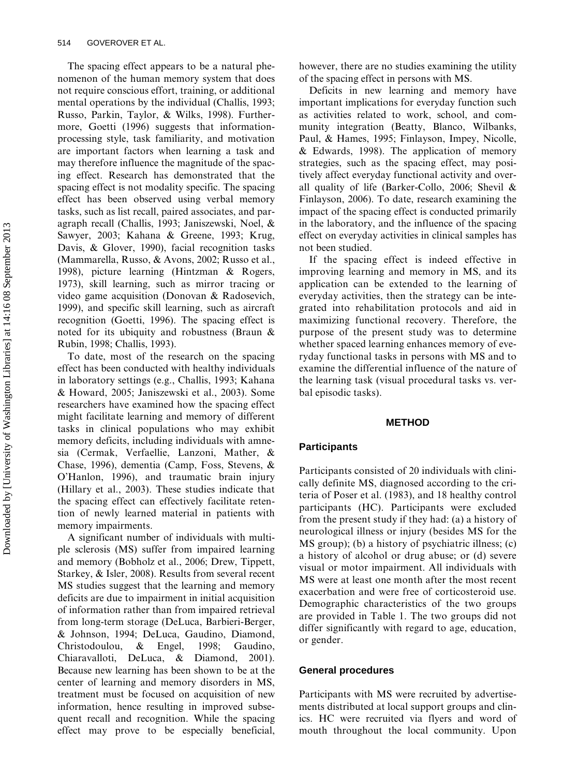The spacing effect appears to be a natural phenomenon of the human memory system that does not require conscious effort, training, or additional mental operations by the individual (Challis, 1993; Russo, Parkin, Taylor, & Wilks, 1998). Furthermore, Goetti (1996) suggests that informationprocessing style, task familiarity, and motivation are important factors when learning a task and may therefore influence the magnitude of the spacing effect. Research has demonstrated that the spacing effect is not modality specific. The spacing effect has been observed using verbal memory tasks, such as list recall, paired associates, and paragraph recall (Challis, 1993; Janiszewski, Noel, & Sawyer, 2003; Kahana & Greene, 1993; Krug, Davis, & Glover, 1990), facial recognition tasks (Mammarella, Russo, & Avons, 2002; Russo et al., 1998), picture learning (Hintzman & Rogers, 1973), skill learning, such as mirror tracing or video game acquisition (Donovan & Radosevich, 1999), and specific skill learning, such as aircraft recognition (Goetti, 1996). The spacing effect is noted for its ubiquity and robustness (Braun & Rubin, 1998; Challis, 1993).

To date, most of the research on the spacing effect has been conducted with healthy individuals in laboratory settings (e.g., Challis, 1993; Kahana & Howard, 2005; Janiszewski et al., 2003). Some researchers have examined how the spacing effect might facilitate learning and memory of different tasks in clinical populations who may exhibit memory deficits, including individuals with amnesia (Cermak, Verfaellie, Lanzoni, Mather, & Chase, 1996), dementia (Camp, Foss, Stevens, & O'Hanlon, 1996), and traumatic brain injury (Hillary et al., 2003). These studies indicate that the spacing effect can effectively facilitate retention of newly learned material in patients with memory impairments.

A significant number of individuals with multiple sclerosis (MS) suffer from impaired learning and memory (Bobholz et al., 2006; Drew, Tippett, Starkey, & Isler, 2008). Results from several recent MS studies suggest that the learning and memory deficits are due to impairment in initial acquisition of information rather than from impaired retrieval from long-term storage (DeLuca, Barbieri-Berger, & Johnson, 1994; DeLuca, Gaudino, Diamond, Christodoulou, & Engel, 1998; Gaudino, Chiaravalloti, DeLuca, & Diamond, 2001). Because new learning has been shown to be at the center of learning and memory disorders in MS, treatment must be focused on acquisition of new information, hence resulting in improved subsequent recall and recognition. While the spacing effect may prove to be especially beneficial, however, there are no studies examining the utility of the spacing effect in persons with MS.

Deficits in new learning and memory have important implications for everyday function such as activities related to work, school, and community integration (Beatty, Blanco, Wilbanks, Paul, & Hames, 1995; Finlayson, Impey, Nicolle, & Edwards, 1998). The application of memory strategies, such as the spacing effect, may positively affect everyday functional activity and overall quality of life (Barker-Collo, 2006; Shevil & Finlayson, 2006). To date, research examining the impact of the spacing effect is conducted primarily in the laboratory, and the influence of the spacing effect on everyday activities in clinical samples has not been studied.

If the spacing effect is indeed effective in improving learning and memory in MS, and its application can be extended to the learning of everyday activities, then the strategy can be integrated into rehabilitation protocols and aid in maximizing functional recovery. Therefore, the purpose of the present study was to determine whether spaced learning enhances memory of everyday functional tasks in persons with MS and to examine the differential influence of the nature of the learning task (visual procedural tasks vs. verbal episodic tasks).

#### **METHOD**

# **Participants**

Participants consisted of 20 individuals with clinically definite MS, diagnosed according to the criteria of Poser et al. (1983), and 18 healthy control participants (HC). Participants were excluded from the present study if they had: (a) a history of neurological illness or injury (besides MS for the MS group); (b) a history of psychiatric illness; (c) a history of alcohol or drug abuse; or (d) severe visual or motor impairment. All individuals with MS were at least one month after the most recent exacerbation and were free of corticosteroid use. Demographic characteristics of the two groups are provided in Table 1. The two groups did not differ significantly with regard to age, education, or gender.

## **General procedures**

Participants with MS were recruited by advertisements distributed at local support groups and clinics. HC were recruited via flyers and word of mouth throughout the local community. Upon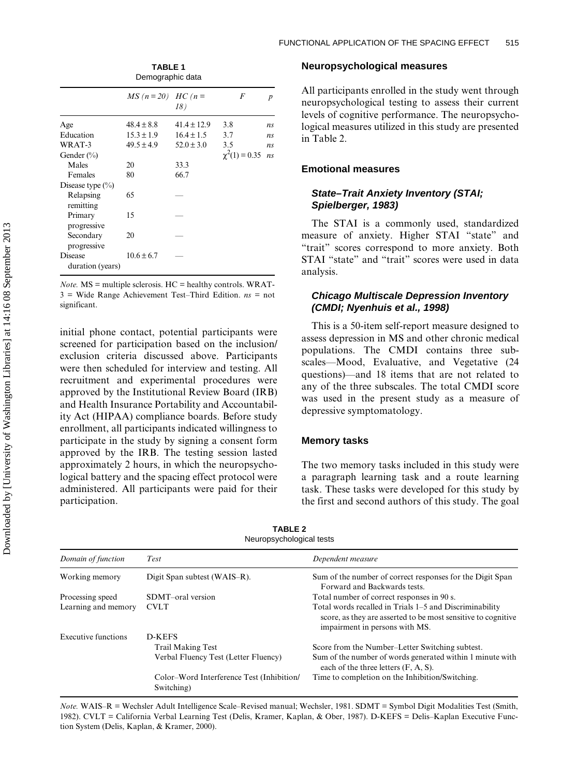|                                    | $MS(n = 20)$ HC (n = | 18)             | F                  | p              |  |  |
|------------------------------------|----------------------|-----------------|--------------------|----------------|--|--|
| Age                                | $48.4 \pm 8.8$       | $41.4 \pm 12.9$ | 3.8                | ns             |  |  |
| Education                          | $15.3 \pm 1.9$       | $16.4 \pm 1.5$  | 3.7                | ns             |  |  |
| WRAT-3                             | $49.5 \pm 4.9$       | $52.0 \pm 3.0$  | 3.5                | n <sub>s</sub> |  |  |
| Gender $(\% )$                     |                      |                 | $\chi^2(1) = 0.35$ | ns             |  |  |
| Males                              | 20                   | 33.3            |                    |                |  |  |
| Females                            | 80                   | 66.7            |                    |                |  |  |
| Disease type $(\%$                 |                      |                 |                    |                |  |  |
| Relapsing<br>remitting             | 65                   |                 |                    |                |  |  |
| Primary<br>progressive             | 15                   |                 |                    |                |  |  |
| Secondary<br>progressive           | 20                   |                 |                    |                |  |  |
| <b>Disease</b><br>duration (years) | $10.6 \pm 6.7$       |                 |                    |                |  |  |

**TABLE 1**  Demographic data

*Note.*  $MS =$  multiple sclerosis.  $HC =$  healthy controls. WRAT-3 = Wide Range Achievement Test–Third Edition. *ns* = not significant.

initial phone contact, potential participants were screened for participation based on the inclusion/ exclusion criteria discussed above. Participants were then scheduled for interview and testing. All recruitment and experimental procedures were approved by the Institutional Review Board (IRB) and Health Insurance Portability and Accountability Act (HIPAA) compliance boards. Before study enrollment, all participants indicated willingness to participate in the study by signing a consent form approved by the IRB. The testing session lasted approximately 2 hours, in which the neuropsychological battery and the spacing effect protocol were administered. All participants were paid for their participation.

#### **Neuropsychological measures**

All participants enrolled in the study went through neuropsychological testing to assess their current levels of cognitive performance. The neuropsychological measures utilized in this study are presented in Table 2.

# **Emotional measures**

# *State–Trait Anxiety Inventory (STAI; Spielberger, 1983)*

The STAI is a commonly used, standardized measure of anxiety. Higher STAI "state" and "trait" scores correspond to more anxiety. Both STAI "state" and "trait" scores were used in data analysis.

# *Chicago Multiscale Depression Inventory (CMDI; Nyenhuis et al., 1998)*

This is a 50-item self-report measure designed to assess depression in MS and other chronic medical populations. The CMDI contains three subscales—Mood, Evaluative, and Vegetative (24 questions)—and 18 items that are not related to any of the three subscales. The total CMDI score was used in the present study as a measure of depressive symptomatology.

## **Memory tasks**

The two memory tasks included in this study were a paragraph learning task and a route learning task. These tasks were developed for this study by the first and second authors of this study. The goal

| Domain of function  | Test                                                    | Dependent measure                                                                                                                                          |  |  |  |
|---------------------|---------------------------------------------------------|------------------------------------------------------------------------------------------------------------------------------------------------------------|--|--|--|
| Working memory      | Digit Span subtest (WAIS–R).                            | Sum of the number of correct responses for the Digit Span<br>Forward and Backwards tests.                                                                  |  |  |  |
| Processing speed    | SDMT-oral version                                       | Total number of correct responses in 90 s.                                                                                                                 |  |  |  |
| Learning and memory | <b>CVLT</b>                                             | Total words recalled in Trials 1–5 and Discriminability<br>score, as they are asserted to be most sensitive to cognitive<br>impairment in persons with MS. |  |  |  |
| Executive functions | D-KEFS                                                  |                                                                                                                                                            |  |  |  |
|                     | <b>Trail Making Test</b>                                | Score from the Number-Letter Switching subtest.                                                                                                            |  |  |  |
|                     | Verbal Fluency Test (Letter Fluency)                    | Sum of the number of words generated within 1 minute with<br>each of the three letters $(F, A, S)$ .                                                       |  |  |  |
|                     | Color–Word Interference Test (Inhibition/<br>Switching) | Time to completion on the Inhibition/Switching.                                                                                                            |  |  |  |

**TABLE 2**  Neuropsychological tests

*Note.* WAIS–R = Wechsler Adult Intelligence Scale–Revised manual; Wechsler, 1981. SDMT = Symbol Digit Modalities Test (Smith, 1982). CVLT *=* California Verbal Learning Test (Delis, Kramer, Kaplan, & Ober, 1987). D-KEFS = Delis–Kaplan Executive Function System (Delis, Kaplan, & Kramer, 2000).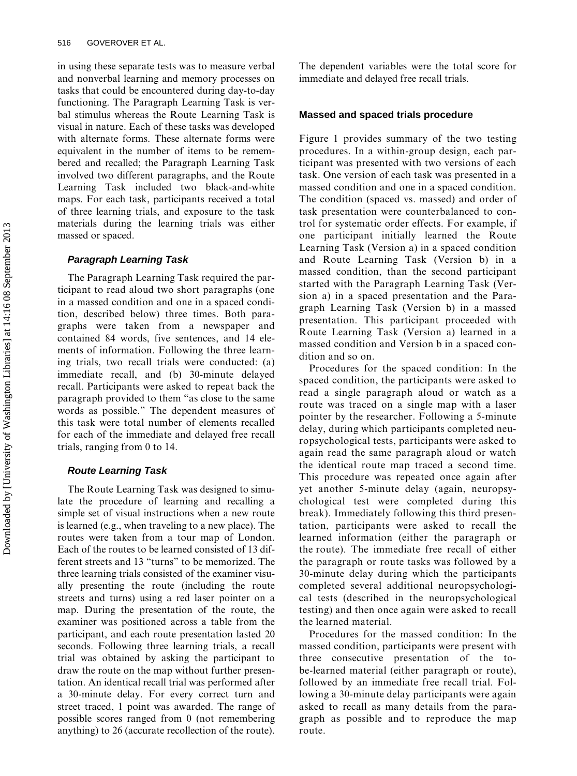in using these separate tests was to measure verbal and nonverbal learning and memory processes on tasks that could be encountered during day-to-day functioning. The Paragraph Learning Task is verbal stimulus whereas the Route Learning Task is visual in nature. Each of these tasks was developed with alternate forms. These alternate forms were equivalent in the number of items to be remembered and recalled; the Paragraph Learning Task involved two different paragraphs, and the Route Learning Task included two black-and-white maps. For each task, participants received a total of three learning trials, and exposure to the task materials during the learning trials was either massed or spaced.

## *Paragraph Learning Task*

The Paragraph Learning Task required the participant to read aloud two short paragraphs (one in a massed condition and one in a spaced condition, described below) three times. Both paragraphs were taken from a newspaper and contained 84 words, five sentences, and 14 elements of information. Following the three learning trials, two recall trials were conducted: (a) immediate recall, and (b) 30-minute delayed recall. Participants were asked to repeat back the paragraph provided to them "as close to the same words as possible." The dependent measures of this task were total number of elements recalled for each of the immediate and delayed free recall trials, ranging from 0 to 14.

#### *Route Learning Task*

The Route Learning Task was designed to simulate the procedure of learning and recalling a simple set of visual instructions when a new route is learned (e.g., when traveling to a new place). The routes were taken from a tour map of London. Each of the routes to be learned consisted of 13 different streets and 13 "turns" to be memorized. The three learning trials consisted of the examiner visually presenting the route (including the route streets and turns) using a red laser pointer on a map. During the presentation of the route, the examiner was positioned across a table from the participant, and each route presentation lasted 20 seconds. Following three learning trials, a recall trial was obtained by asking the participant to draw the route on the map without further presentation. An identical recall trial was performed after a 30-minute delay. For every correct turn and street traced, 1 point was awarded. The range of possible scores ranged from 0 (not remembering anything) to 26 (accurate recollection of the route). The dependent variables were the total score for immediate and delayed free recall trials.

## **Massed and spaced trials procedure**

Figure 1 provides summary of the two testing procedures. In a within-group design, each participant was presented with two versions of each task. One version of each task was presented in a massed condition and one in a spaced condition. The condition (spaced vs. massed) and order of task presentation were counterbalanced to control for systematic order effects. For example, if one participant initially learned the Route Learning Task (Version a) in a spaced condition and Route Learning Task (Version b) in a massed condition, than the second participant started with the Paragraph Learning Task (Version a) in a spaced presentation and the Paragraph Learning Task (Version b) in a massed presentation. This participant proceeded with Route Learning Task (Version a) learned in a massed condition and Version b in a spaced condition and so on.

Procedures for the spaced condition: In the spaced condition, the participants were asked to read a single paragraph aloud or watch as a route was traced on a single map with a laser pointer by the researcher. Following a 5-minute delay, during which participants completed neuropsychological tests, participants were asked to again read the same paragraph aloud or watch the identical route map traced a second time. This procedure was repeated once again after yet another 5-minute delay (again, neuropsychological test were completed during this break). Immediately following this third presentation, participants were asked to recall the learned information (either the paragraph or the route). The immediate free recall of either the paragraph or route tasks was followed by a 30-minute delay during which the participants completed several additional neuropsychological tests (described in the neuropsychological testing) and then once again were asked to recall the learned material.

Procedures for the massed condition: In the massed condition, participants were present with three consecutive presentation of the be-learned material (either paragraph or route), followed by an immediate free recall trial. Following a 30-minute delay participants were again asked to recall as many details from the paragraph as possible and to reproduce the map route.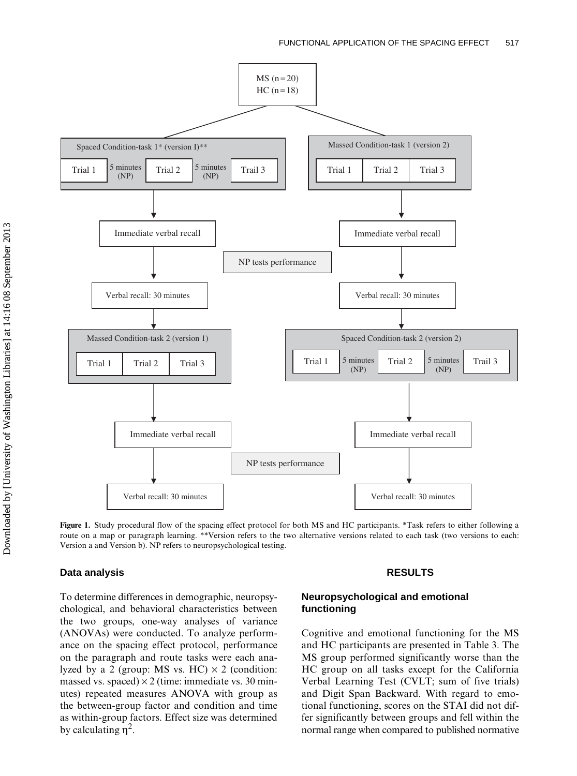

**Figure 1.** Study procedural flow of the spacing effect protocol for both MS and HC participants. \*Task refers to either following a route on a map or paragraph learning. \*\*Version refers to the two alternative versions related to each task (two versions to each: Version a and Version b). NP refers to neuropsychological testing.

## **Data analysis**

To determine differences in demographic, neuropsychological, and behavioral characteristics between the two groups, one-way analyses of variance (ANOVAs) were conducted. To analyze performance on the spacing effect protocol, performance on the paragraph and route tasks were each analyzed by a 2 (group: MS vs. HC)  $\times$  2 (condition: massed vs. spaced)  $\times$  2 (time: immediate vs. 30 minutes) repeated measures ANOVA with group as the between-group factor and condition and time as within-group factors. Effect size was determined by calculating  $η<sup>2</sup>$ .

#### **RESULTS**

# **Neuropsychological and emotional functioning**

Cognitive and emotional functioning for the MS and HC participants are presented in Table 3. The MS group performed significantly worse than the HC group on all tasks except for the California Verbal Learning Test (CVLT; sum of five trials) and Digit Span Backward. With regard to emotional functioning, scores on the STAI did not differ significantly between groups and fell within the normal range when compared to published normative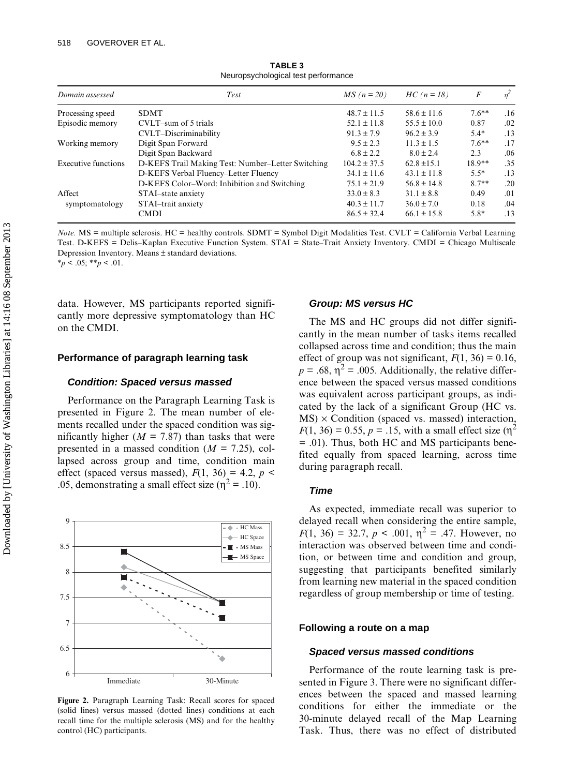| Domain assessed     | Test                                              | $MS(n=20)$       | $HC (n = 18)$   | F        |     |
|---------------------|---------------------------------------------------|------------------|-----------------|----------|-----|
| Processing speed    | <b>SDMT</b>                                       | $48.7 \pm 11.5$  | $58.6 \pm 11.6$ | $7.6***$ | .16 |
| Episodic memory     | CVLT-sum of 5 trials                              | $52.1 \pm 11.8$  | $55.5 \pm 10.0$ | 0.87     | .02 |
|                     | CVLT-Discriminability                             | $91.3 \pm 7.9$   | $96.2 \pm 3.9$  | $5.4*$   | .13 |
| Working memory      | Digit Span Forward                                | $9.5 \pm 2.3$    | $11.3 \pm 1.5$  | $7.6***$ | .17 |
|                     | Digit Span Backward                               | $6.8 \pm 2.2$    | $8.0 \pm 2.4$   | 2.3      | .06 |
| Executive functions | D-KEFS Trail Making Test: Number-Letter Switching | $104.2 \pm 37.5$ | $62.8 \pm 15.1$ | $18.9**$ | .35 |
|                     | D-KEFS Verbal Fluency-Letter Fluency              | $34.1 \pm 11.6$  | $43.1 \pm 11.8$ | $5.5*$   | .13 |
|                     | D-KEFS Color–Word: Inhibition and Switching       | $75.1 \pm 21.9$  | $56.8 \pm 14.8$ | $8.7**$  | .20 |
| Affect              | STAI-state anxiety                                | $33.0 \pm 8.3$   | $31.1 \pm 8.8$  | 0.49     | .01 |
| symptomatology      | STAI-trait anxiety                                | $40.3 \pm 11.7$  | $36.0 \pm 7.0$  | 0.18     | .04 |
|                     | <b>CMDI</b>                                       | $86.5 \pm 32.4$  | $66.1 \pm 15.8$ | $5.8*$   | .13 |

**TABLE 3** Neuropsychological test performance

*Note.* MS = multiple sclerosis. HC = healthy controls. SDMT = Symbol Digit Modalities Test. CVLT *=* California Verbal Learning Test. D-KEFS = Delis–Kaplan Executive Function System. STAI = State–Trait Anxiety Inventory. CMDI = Chicago Multiscale Depression Inventory. Means ± standard deviations.  $*_{p}$  < .05; \*\**p* < .01.

data. However, MS participants reported significantly more depressive symptomatology than HC on the CMDI.

#### **Performance of paragraph learning task**

#### *Condition: Spaced versus massed*

Performance on the Paragraph Learning Task is presented in Figure 2. The mean number of elements recalled under the spaced condition was significantly higher ( $M = 7.87$ ) than tasks that were presented in a massed condition ( $M = 7.25$ ), collapsed across group and time, condition main effect (spaced versus massed),  $F(1, 36) = 4.2$ ,  $p <$ .05, demonstrating a small effect size ( $\eta^2$  = .10).



**Figure 2.** Paragraph Learning Task: Recall scores for spaced (solid lines) versus massed (dotted lines) conditions at each recall time for the multiple sclerosis (MS) and for the healthy control (HC) participants.

#### *Group: MS versus HC*

The MS and HC groups did not differ significantly in the mean number of tasks items recalled collapsed across time and condition; thus the main effect of group was not significant,  $F(1, 36) = 0.16$ ,  $p = .68$ ,  $\eta^2 = .005$ . Additionally, the relative difference between the spaced versus massed conditions was equivalent across participant groups, as indicated by the lack of a significant Group (HC vs.  $MS) \times$  Condition (spaced vs. massed) interaction,  $F(1, 36) = 0.55$ ,  $p = .15$ , with a small effect size ( $\eta^2$ ) = .01). Thus, both HC and MS participants benefited equally from spaced learning, across time during paragraph recall.

#### *Time*

As expected, immediate recall was superior to delayed recall when considering the entire sample,  $F(1, 36) = 32.7, p < .001, \eta^2 = .47$ . However, no interaction was observed between time and condition, or between time and condition and group, suggesting that participants benefited similarly from learning new material in the spaced condition regardless of group membership or time of testing.

#### **Following a route on a map**

#### *Spaced versus massed conditions*

Performance of the route learning task is presented in Figure 3. There were no significant differences between the spaced and massed learning conditions for either the immediate or the 30-minute delayed recall of the Map Learning Task. Thus, there was no effect of distributed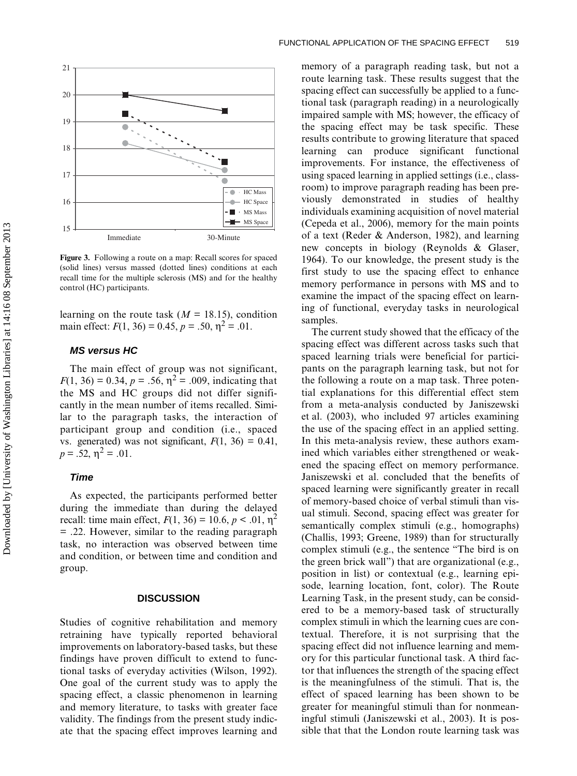

**Figure 3.** Following a route on a map: Recall scores for spaced (solid lines) versus massed (dotted lines) conditions at each recall time for the multiple sclerosis (MS) and for the healthy control (HC) participants.

learning on the route task  $(M = 18.15)$ , condition main effect:  $F(1, 36) = 0.45$ ,  $p = .50$ ,  $\eta^2 = .01$ .

# *MS versus HC*

The main effect of group was not significant,  $F(1, 36) = 0.34, p = .56, \eta^2 = .009$ , indicating that the MS and HC groups did not differ significantly in the mean number of items recalled. Similar to the paragraph tasks, the interaction of participant group and condition (i.e., spaced vs. generated) was not significant,  $F(1, 36) = 0.41$ ,  $p = .52, \eta^2 = .01.$ 

#### *Time*

As expected, the participants performed better during the immediate than during the delayed recall: time main effect,  $F(1, 36) = 10.6, p < .01, \eta^2$ = .22. However, similar to the reading paragraph task, no interaction was observed between time and condition, or between time and condition and group.

#### **DISCUSSION**

Studies of cognitive rehabilitation and memory retraining have typically reported behavioral improvements on laboratory-based tasks, but these findings have proven difficult to extend to functional tasks of everyday activities (Wilson, 1992). One goal of the current study was to apply the spacing effect, a classic phenomenon in learning and memory literature, to tasks with greater face validity. The findings from the present study indicate that the spacing effect improves learning and

memory of a paragraph reading task, but not a route learning task. These results suggest that the spacing effect can successfully be applied to a functional task (paragraph reading) in a neurologically impaired sample with MS; however, the efficacy of the spacing effect may be task specific. These results contribute to growing literature that spaced learning can produce significant functional improvements. For instance, the effectiveness of using spaced learning in applied settings (i.e., classroom) to improve paragraph reading has been previously demonstrated in studies of healthy individuals examining acquisition of novel material (Cepeda et al., 2006), memory for the main points of a text (Reder & Anderson, 1982), and learning new concepts in biology (Reynolds & Glaser, 1964). To our knowledge, the present study is the first study to use the spacing effect to enhance memory performance in persons with MS and to examine the impact of the spacing effect on learning of functional, everyday tasks in neurological samples.

The current study showed that the efficacy of the spacing effect was different across tasks such that spaced learning trials were beneficial for participants on the paragraph learning task, but not for the following a route on a map task. Three potential explanations for this differential effect stem from a meta-analysis conducted by Janiszewski et al. (2003), who included 97 articles examining the use of the spacing effect in an applied setting. In this meta-analysis review, these authors examined which variables either strengthened or weakened the spacing effect on memory performance. Janiszewski et al. concluded that the benefits of spaced learning were significantly greater in recall of memory-based choice of verbal stimuli than visual stimuli. Second, spacing effect was greater for semantically complex stimuli (e.g., homographs) (Challis, 1993; Greene, 1989) than for structurally complex stimuli (e.g., the sentence "The bird is on the green brick wall") that are organizational (e.g., position in list) or contextual (e.g., learning episode, learning location, font, color). The Route Learning Task, in the present study, can be considered to be a memory-based task of structurally complex stimuli in which the learning cues are contextual. Therefore, it is not surprising that the spacing effect did not influence learning and memory for this particular functional task. A third factor that influences the strength of the spacing effect is the meaningfulness of the stimuli. That is, the effect of spaced learning has been shown to be greater for meaningful stimuli than for nonmeaningful stimuli (Janiszewski et al., 2003). It is possible that that the London route learning task was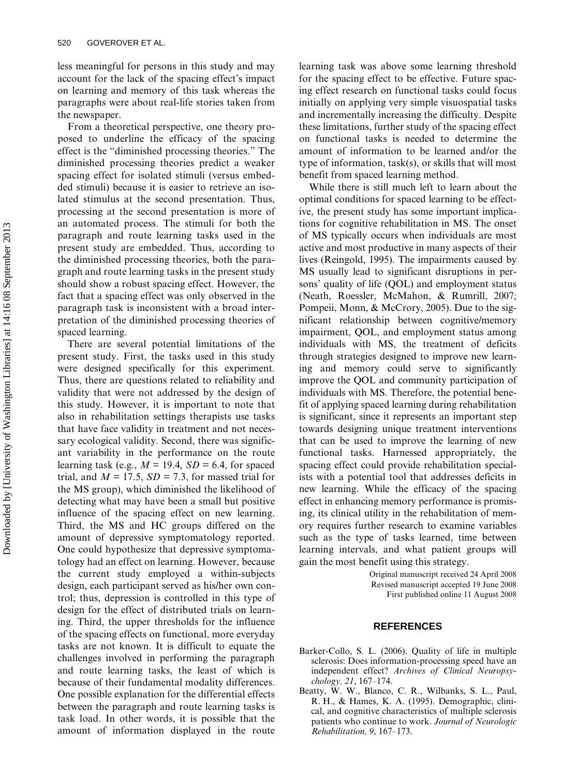less meaningful for persons in this study and may account for the lack of the spacing effect's impact on learning and memory of this task whereas the paragraphs were about real-life stories taken from the newspaper.

From a theoretical perspective, one theory proposed to underline the efficacy of the spacing effect is the "diminished processing theories." The diminished processing theories predict a weaker spacing effect for isolated stimuli (versus embedded stimuli) because it is easier to retrieve an isolated stimulus at the second presentation. Thus, processing at the second presentation is more of an automated process. The stimuli for both the paragraph and route learning tasks used in the present study are embedded. Thus, according to the diminished processing theories, both the paragraph and route learning tasks in the present study should show a robust spacing effect. However, the fact that a spacing effect was only observed in the paragraph task is inconsistent with a broad interpretation of the diminished processing theories of spaced learning.

There are several potential limitations of the present study. First, the tasks used in this study were designed specifically for this experiment. Thus, there are questions related to reliability and validity that were not addressed by the design of this study. However, it is important to note that also in rehabilitation settings therapists use tasks that have face validity in treatment and not necessary ecological validity. Second, there was significant variability in the performance on the route learning task (e.g.,  $M = 19.4$ ,  $SD = 6.4$ , for spaced trial, and  $M = 17.5$ ,  $SD = 7.3$ , for massed trial for the MS group), which diminished the likelihood of detecting what may have been a small but positive influence of the spacing effect on new learning. Third, the MS and HC groups differed on the amount of depressive symptomatology reported. One could hypothesize that depressive symptomatology had an effect on learning. However, because the current study employed a within-subjects design, each participant served as his/her own control; thus, depression is controlled in this type of design for the effect of distributed trials on learning. Third, the upper thresholds for the influence of the spacing effects on functional, more everyday tasks are not known. It is difficult to equate the challenges involved in performing the paragraph and route learning tasks, the least of which is because of their fundamental modality differences. One possible explanation for the differential effects between the paragraph and route learning tasks is task load. In other words, it is possible that the amount of information displayed in the route learning task was above some learning threshold for the spacing effect to be effective. Future spacing effect research on functional tasks could focus initially on applying very simple visuospatial tasks and incrementally increasing the difficulty. Despite these limitations, further study of the spacing effect on functional tasks is needed to determine the amount of information to be learned and/or the type of information, task(s), or skills that will most benefit from spaced learning method.

While there is still much left to learn about the optimal conditions for spaced learning to be effective, the present study has some important implications for cognitive rehabilitation in MS. The onset of MS typically occurs when individuals are most active and most productive in many aspects of their lives (Reingold, 1995). The impairments caused by MS usually lead to significant disruptions in persons' quality of life (QOL) and employment status (Neath, Roessler, McMahon, & Rumrill, 2007; Pompeii, Monn, & McCrory, 2005). Due to the significant relationship between cognitive/memory impairment, QOL, and employment status among individuals with MS, the treatment of deficits through strategies designed to improve new learning and memory could serve to significantly improve the QOL and community participation of individuals with MS. Therefore, the potential benefit of applying spaced learning during rehabilitation is significant, since it represents an important step towards designing unique treatment interventions that can be used to improve the learning of new functional tasks. Harnessed appropriately, the spacing effect could provide rehabilitation specialists with a potential tool that addresses deficits in new learning. While the efficacy of the spacing effect in enhancing memory performance is promising, its clinical utility in the rehabilitation of memory requires further research to examine variables such as the type of tasks learned, time between learning intervals, and what patient groups will gain the most benefit using this strategy.

> Original manuscript received 24 April 2008 Revised manuscript accepted 19 June 2008 First published online 11 August 2008

#### **REFERENCES**

- Barker-Collo, S. L. (2006). Quality of life in multiple sclerosis: Does information-processing speed have an independent effect? *Archives of Clinical Neuropsychology, 21*, 167–174.
- Beatty, W. W., Blanco, C. R., Wilbanks, S. L., Paul, R. H., & Hames, K. A. (1995). Demographic, clinical, and cognitive characteristics of multiple sclerosis patients who continue to work. *Journal of Neurologic Rehabilitation, 9*, 167–173.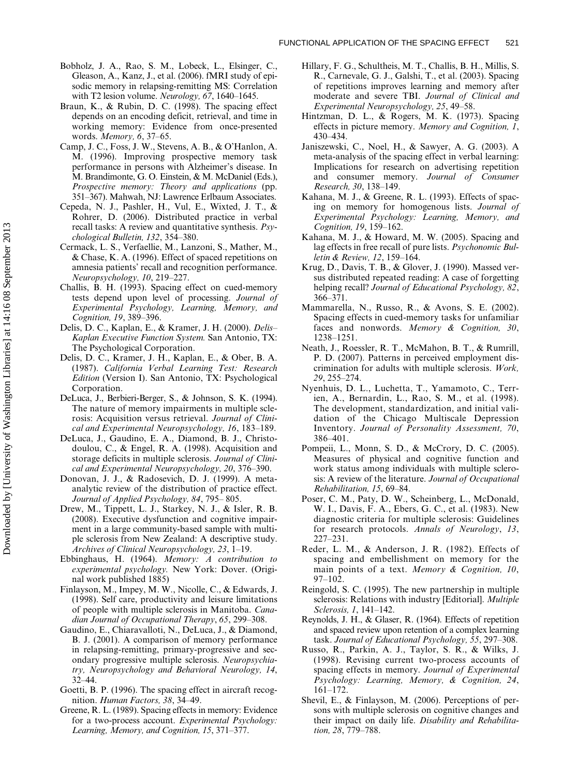- Bobholz, J. A., Rao, S. M., Lobeck, L., Elsinger, C., Gleason, A., Kanz, J., et al. (2006). fMRI study of episodic memory in relapsing-remitting MS: Correlation with T2 lesion volume. *Neurology, 67*, 1640–1645.
- Braun, K., & Rubin, D. C. (1998). The spacing effect depends on an encoding deficit, retrieval, and time in working memory: Evidence from once-presented words. *Memory, 6*, 37–65.
- Camp, J. C., Foss, J. W., Stevens, A. B., & O'Hanlon, A. M. (1996). Improving prospective memory task performance in persons with Alzheimer's disease. In M. Brandimonte, G. O. Einstein, & M. McDaniel (Eds.), *Prospective memory: Theory and applications* (pp. 351–367). Mahwah, NJ: Lawrence Erlbaum Associates.
- Cepeda, N. J., Pashler, H., Vul, E., Wixted, J. T., & Rohrer, D. (2006). Distributed practice in verbal recall tasks: A review and quantitative synthesis. *Psychological Bulletin, 132*, 354–380.
- Cermack, L. S., Verfaellie, M., Lanzoni, S., Mather, M., & Chase, K. A. (1996). Effect of spaced repetitions on amnesia patients' recall and recognition performance. *Neuropsychology, 10*, 219–227.
- Challis, B. H. (1993). Spacing effect on cued-memory tests depend upon level of processing. *Journal of Experimental Psychology, Learning, Memory, and Cognition, 19*, 389–396.
- Delis, D. C., Kaplan, E., & Kramer, J. H. (2000). *Delis– Kaplan Executive Function System.* San Antonio, TX: The Psychological Corporation.
- Delis, D. C., Kramer, J. H., Kaplan, E., & Ober, B. A. (1987). *California Verbal Learning Test: Research Edition* (Version I). San Antonio, TX: Psychological Corporation.
- DeLuca, J., Berbieri-Berger, S., & Johnson, S. K. (1994). The nature of memory impairments in multiple sclerosis: Acquisition versus retrieval. *Journal of Clinical and Experimental Neuropsychology, 16*, 183–189.
- DeLuca, J., Gaudino, E. A., Diamond, B. J., Christodoulou, C., & Engel, R. A. (1998). Acquisition and storage deficits in multiple sclerosis. *Journal of Clinical and Experimental Neuropsychology, 20*, 376–390.
- Donovan, J. J., & Radosevich, D. J. (1999). A metaanalytic review of the distribution of practice effect. *Journal of Applied Psychology, 84*, 795– 805.
- Drew, M., Tippett, L. J., Starkey, N. J., & Isler, R. B. (2008). Executive dysfunction and cognitive impairment in a large community-based sample with multiple sclerosis from New Zealand: A descriptive study. *Archives of Clinical Neuropsychology, 23*, 1–19.
- Ebbinghaus, H. (1964). *Memory: A contribution to experimental psychology.* New York: Dover. (Original work published 1885)
- Finlayson, M., Impey, M. W., Nicolle, C., & Edwards, J. (1998). Self care, productivity and leisure limitations of people with multiple sclerosis in Manitoba. *Canadian Journal of Occupational Therapy*, *65*, 299–308.
- Gaudino, E., Chiaravalloti, N., DeLuca, J., & Diamond, B. J. (2001). A comparison of memory performance in relapsing-remitting, primary-progressive and secondary progressive multiple sclerosis. *Neuropsychiatry, Neuropsychology and Behavioral Neurology, 14*, 32–44.
- Goetti, B. P. (1996). The spacing effect in aircraft recognition. *Human Factors, 38*, 34–49.
- Greene, R. L. (1989). Spacing effects in memory: Evidence for a two-process account. *Experimental Psychology: Learning, Memory, and Cognition, 15*, 371–377.
- Hillary, F. G., Schultheis, M. T., Challis, B. H., Millis, S. R., Carnevale, G. J., Galshi, T., et al. (2003). Spacing of repetitions improves learning and memory after moderate and severe TBI. *Journal of Clinical and Experimental Neuropsychology, 25*, 49–58.
- Hintzman, D. L., & Rogers, M. K. (1973). Spacing effects in picture memory. *Memory and Cognition, 1*, 430–434.
- Janiszewski, C., Noel, H., & Sawyer, A. G. (2003). A meta-analysis of the spacing effect in verbal learning: Implications for research on advertising repetition and consumer memory. *Journal of Consumer Research, 30*, 138–149.
- Kahana, M. J., & Greene, R. L. (1993). Effects of spacing on memory for homogenous lists. *Journal of Experimental Psychology: Learning, Memory, and Cognition, 19*, 159–162.
- Kahana, M. J., & Howard, M. W. (2005). Spacing and lag effects in free recall of pure lists. *Psychonomic Bulletin & Review, 12*, 159–164.
- Krug, D., Davis, T. B., & Glover, J. (1990). Massed versus distributed repeated reading: A case of forgetting helping recall? *Journal of Educational Psychology, 82*, 366–371.
- Mammarella, N., Russo, R., & Avons, S. E. (2002). Spacing effects in cued-memory tasks for unfamiliar faces and nonwords. *Memory & Cognition, 30*, 1238–1251.
- Neath, J., Roessler, R. T., McMahon, B. T., & Rumrill, P. D. (2007). Patterns in perceived employment discrimination for adults with multiple sclerosis. *Work, 29*, 255–274.
- Nyenhuis, D. L., Luchetta, T., Yamamoto, C., Terrien, A., Bernardin, L., Rao, S. M., et al. (1998). The development, standardization, and initial validation of the Chicago Multiscale Depression Inventory. *Journal of Personality Assessment, 70*, 386–401.
- Pompeii, L., Monn, S. D., & McCrory, D. C. (2005). Measures of physical and cognitive function and work status among individuals with multiple sclerosis: A review of the literature. *Journal of Occupational Rehabilitation, 15*, 69–84.
- Poser, C. M., Paty, D. W., Scheinberg, L., McDonald, W. I., Davis, F. A., Ebers, G. C., et al. (1983). New diagnostic criteria for multiple sclerosis: Guidelines for research protocols. *Annals of Neurology*, *13*, 227–231.
- Reder, L. M., & Anderson, J. R. (1982). Effects of spacing and embellishment on memory for the main points of a text. *Memory & Cognition, 10*, 97–102.
- Reingold, S. C. (1995). The new partnership in multiple sclerosis: Relations with industry [Editorial]. *Multiple Sclerosis, 1*, 141–142.
- Reynolds, J. H., & Glaser, R. (1964). Effects of repetition and spaced review upon retention of a complex learning task. *Journal of Educational Psychology, 55*, 297–308.
- Russo, R., Parkin, A. J., Taylor, S. R., & Wilks, J. (1998). Revising current two-process accounts of spacing effects in memory. *Journal of Experimental Psychology: Learning, Memory, & Cognition, 24*, 161–172.
- Shevil, E., & Finlayson, M. (2006). Perceptions of persons with multiple sclerosis on cognitive changes and their impact on daily life. *Disability and Rehabilitation, 28*, 779–788.